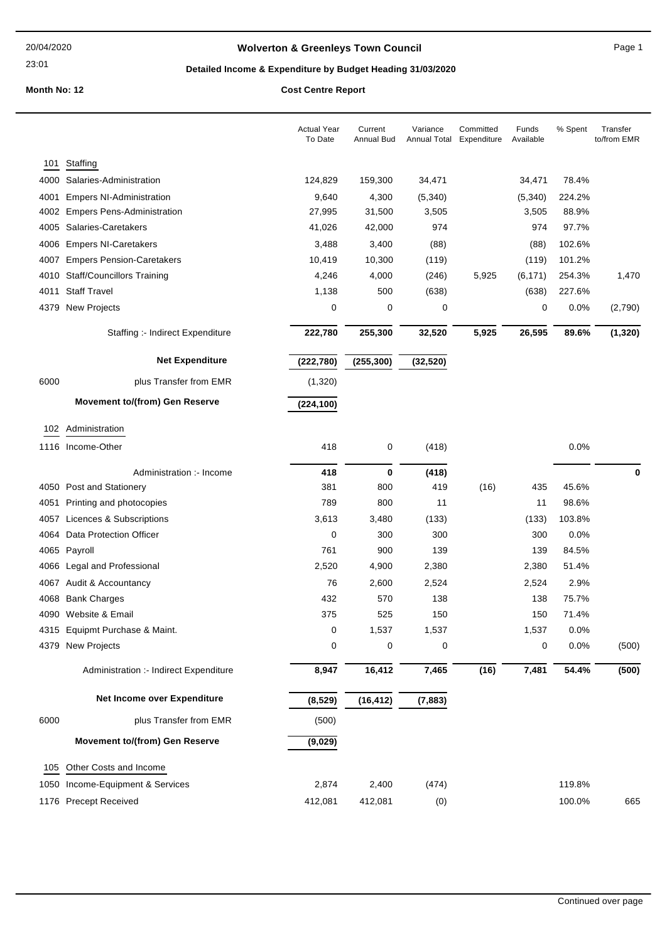23:01

# **Wolverton & Greenleys Town Council Page 1** Page 1

# **Detailed Income & Expenditure by Budget Heading 31/03/2020**

|      |                                        | <b>Actual Year</b><br>To Date | Current<br>Annual Bud | Variance<br>Annual Total | Committed<br>Expenditure | Funds<br>Available | % Spent | Transfer<br>to/from EMR |
|------|----------------------------------------|-------------------------------|-----------------------|--------------------------|--------------------------|--------------------|---------|-------------------------|
| 101  | Staffing                               |                               |                       |                          |                          |                    |         |                         |
| 4000 | Salaries-Administration                | 124,829                       | 159,300               | 34,471                   |                          | 34,471             | 78.4%   |                         |
| 4001 | <b>Empers NI-Administration</b>        | 9,640                         | 4,300                 | (5,340)                  |                          | (5,340)            | 224.2%  |                         |
| 4002 | <b>Empers Pens-Administration</b>      | 27,995                        | 31,500                | 3,505                    |                          | 3,505              | 88.9%   |                         |
| 4005 | Salaries-Caretakers                    | 41,026                        | 42,000                | 974                      |                          | 974                | 97.7%   |                         |
| 4006 | <b>Empers NI-Caretakers</b>            | 3,488                         | 3,400                 | (88)                     |                          | (88)               | 102.6%  |                         |
| 4007 | <b>Empers Pension-Caretakers</b>       | 10,419                        | 10,300                | (119)                    |                          | (119)              | 101.2%  |                         |
| 4010 | <b>Staff/Councillors Training</b>      | 4,246                         | 4,000                 | (246)                    | 5,925                    | (6, 171)           | 254.3%  | 1,470                   |
| 4011 | <b>Staff Travel</b>                    | 1,138                         | 500                   | (638)                    |                          | (638)              | 227.6%  |                         |
| 4379 | New Projects                           | 0                             | 0                     | 0                        |                          | 0                  | 0.0%    | (2,790)                 |
|      | Staffing :- Indirect Expenditure       | 222,780                       | 255,300               | 32,520                   | 5,925                    | 26,595             | 89.6%   | (1, 320)                |
|      | <b>Net Expenditure</b>                 | (222, 780)                    | (255, 300)            | (32, 520)                |                          |                    |         |                         |
| 6000 | plus Transfer from EMR                 | (1, 320)                      |                       |                          |                          |                    |         |                         |
|      | <b>Movement to/(from) Gen Reserve</b>  | (224, 100)                    |                       |                          |                          |                    |         |                         |
| 102  | Administration                         |                               |                       |                          |                          |                    |         |                         |
|      | 1116 Income-Other                      | 418                           | 0                     | (418)                    |                          |                    | 0.0%    |                         |
|      | Administration :- Income               | 418                           | $\bf{0}$              | (418)                    |                          |                    |         | $\bf{0}$                |
|      |                                        |                               |                       |                          |                          |                    |         |                         |
|      | 4050 Post and Stationery               | 381                           | 800                   | 419                      | (16)                     | 435                | 45.6%   |                         |
| 4051 | Printing and photocopies               | 789                           | 800                   | 11                       |                          | 11                 | 98.6%   |                         |
| 4057 | Licences & Subscriptions               | 3,613                         | 3,480                 | (133)                    |                          | (133)              | 103.8%  |                         |
| 4064 | Data Protection Officer                | 0                             | 300                   | 300                      |                          | 300                | 0.0%    |                         |
| 4065 | Payroll                                | 761                           | 900                   | 139                      |                          | 139                | 84.5%   |                         |
| 4066 | Legal and Professional                 | 2,520                         | 4,900                 | 2,380                    |                          | 2,380              | 51.4%   |                         |
| 4067 | Audit & Accountancy                    | 76                            | 2,600                 | 2,524                    |                          | 2,524              | 2.9%    |                         |
| 4068 | <b>Bank Charges</b>                    | 432                           | 570                   | 138                      |                          | 138                | 75.7%   |                         |
|      | 4090 Website & Email                   | 375                           | 525                   | 150                      |                          | 150                | 71.4%   |                         |
|      | 4315 Equipmt Purchase & Maint.         | 0                             | 1,537                 | 1,537                    |                          | 1,537              | 0.0%    |                         |
|      | 4379 New Projects                      | 0                             | 0                     | 0                        |                          | 0                  | 0.0%    | (500)                   |
|      | Administration :- Indirect Expenditure | 8,947                         | 16,412                | 7,465                    | (16)                     | 7,481              | 54.4%   | (500)                   |
|      | Net Income over Expenditure            | (8, 529)                      | (16, 412)             | (7, 883)                 |                          |                    |         |                         |
| 6000 | plus Transfer from EMR                 | (500)                         |                       |                          |                          |                    |         |                         |
|      | <b>Movement to/(from) Gen Reserve</b>  | (9,029)                       |                       |                          |                          |                    |         |                         |
| 105  | Other Costs and Income                 |                               |                       |                          |                          |                    |         |                         |
| 1050 | Income-Equipment & Services            | 2,874                         | 2,400                 | (474)                    |                          |                    | 119.8%  |                         |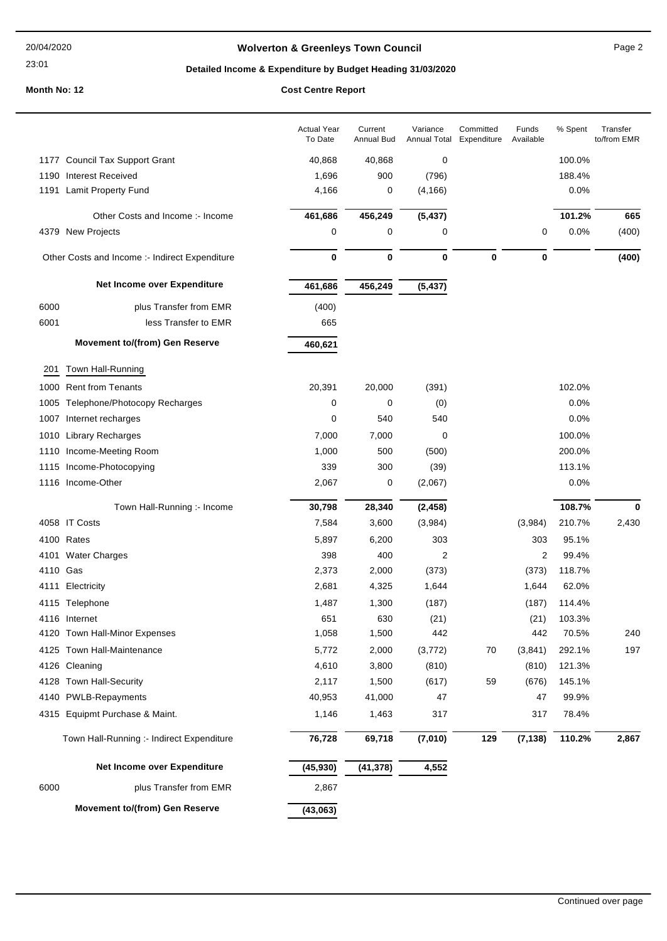### 23:01

# **Wolverton & Greenleys Town Council** Magness Council Page 2

# **Detailed Income & Expenditure by Budget Heading 31/03/2020**

| 1177 Council Tax Support Grant<br>40,868<br>40,868<br>0<br>100.0%<br>1190 Interest Received<br>1,696<br>900<br>(796)<br>188.4%<br>1191 Lamit Property Fund<br>4,166<br>0<br>(4, 166)<br>0.0%<br>456,249<br>461,686<br>(5, 437)<br>101.2%<br>Other Costs and Income :- Income<br>665<br>4379 New Projects<br>0<br>0.0%<br>0<br>0<br>0<br>(400)<br>0<br>$\bf{0}$<br>0<br>0<br>$\bf{0}$<br>Other Costs and Income :- Indirect Expenditure<br>(400)<br>Net Income over Expenditure<br>456,249<br>461,686<br>(5, 437)<br>6000<br>plus Transfer from EMR<br>(400)<br>6001<br>less Transfer to EMR<br>665<br><b>Movement to/(from) Gen Reserve</b><br>460,621<br>Town Hall-Running<br>201<br>1000 Rent from Tenants<br>20,391<br>20,000<br>(391)<br>102.0%<br>1005 Telephone/Photocopy Recharges<br>0<br>0.0%<br>0<br>(0)<br>0<br>540<br>540<br>0.0%<br>1007 Internet recharges<br><b>Library Recharges</b><br>7,000<br>7,000<br>0<br>100.0%<br>1010<br>1,000<br>500<br>(500)<br>200.0%<br>1110 Income-Meeting Room<br>1115 Income-Photocopying<br>339<br>300<br>(39)<br>113.1%<br>1116 Income-Other<br>2,067<br>0<br>(2,067)<br>0.0%<br>Town Hall-Running :- Income<br>30,798<br>28,340<br>(2, 458)<br>108.7%<br>0<br>4058 IT Costs<br>210.7%<br>7,584<br>3,600<br>(3,984)<br>(3,984)<br>2,430<br>4100 Rates<br>95.1%<br>5,897<br>6,200<br>303<br>303<br>4101 Water Charges<br>398<br>400<br>2<br>2<br>99.4%<br>2,373<br>118.7%<br>4110 Gas<br>2,000<br>(373)<br>(373)<br>2,681<br>62.0%<br>4111 Electricity<br>4,325<br>1,644<br>1,644<br>1,487<br>4115 Telephone<br>1,300<br>(187)<br>(187)<br>114.4%<br>651<br>630<br>(21)<br>(21)<br>4116 Internet<br>103.3%<br>442<br>4120 Town Hall-Minor Expenses<br>1,058<br>1,500<br>442<br>70.5%<br>240<br>4125 Town Hall-Maintenance<br>5,772<br>2,000<br>292.1%<br>197<br>(3, 772)<br>70<br>(3,841)<br>4126 Cleaning<br>4,610<br>3,800<br>(810)<br>(810)<br>121.3%<br>2,117<br>4128 Town Hall-Security<br>1,500<br>(617)<br>59<br>(676)<br>145.1%<br>99.9%<br>4140 PWLB-Repayments<br>40,953<br>41,000<br>47<br>47<br>4315 Equipmt Purchase & Maint.<br>1,146<br>317<br>78.4%<br>1,463<br>317<br>76,728<br>69,718<br>(7,010)<br>129<br>(7, 138)<br>110.2%<br>Town Hall-Running :- Indirect Expenditure<br>Net Income over Expenditure<br>4,552<br>(45, 930)<br>(41, 378)<br>6000<br>plus Transfer from EMR<br>2,867<br><b>Movement to/(from) Gen Reserve</b><br>(43,063) |  | <b>Actual Year</b><br>To Date | Current<br><b>Annual Bud</b> | Variance<br>Annual Total | Committed<br>Expenditure | Funds<br>Available | % Spent | Transfer<br>to/from EMR |
|----------------------------------------------------------------------------------------------------------------------------------------------------------------------------------------------------------------------------------------------------------------------------------------------------------------------------------------------------------------------------------------------------------------------------------------------------------------------------------------------------------------------------------------------------------------------------------------------------------------------------------------------------------------------------------------------------------------------------------------------------------------------------------------------------------------------------------------------------------------------------------------------------------------------------------------------------------------------------------------------------------------------------------------------------------------------------------------------------------------------------------------------------------------------------------------------------------------------------------------------------------------------------------------------------------------------------------------------------------------------------------------------------------------------------------------------------------------------------------------------------------------------------------------------------------------------------------------------------------------------------------------------------------------------------------------------------------------------------------------------------------------------------------------------------------------------------------------------------------------------------------------------------------------------------------------------------------------------------------------------------------------------------------------------------------------------------------------------------------------------------------------------------------------------------------------------------------------------------------------------------------------------------------------------------------------------------------------------------------------------------------------------------------------|--|-------------------------------|------------------------------|--------------------------|--------------------------|--------------------|---------|-------------------------|
|                                                                                                                                                                                                                                                                                                                                                                                                                                                                                                                                                                                                                                                                                                                                                                                                                                                                                                                                                                                                                                                                                                                                                                                                                                                                                                                                                                                                                                                                                                                                                                                                                                                                                                                                                                                                                                                                                                                                                                                                                                                                                                                                                                                                                                                                                                                                                                                                                |  |                               |                              |                          |                          |                    |         |                         |
|                                                                                                                                                                                                                                                                                                                                                                                                                                                                                                                                                                                                                                                                                                                                                                                                                                                                                                                                                                                                                                                                                                                                                                                                                                                                                                                                                                                                                                                                                                                                                                                                                                                                                                                                                                                                                                                                                                                                                                                                                                                                                                                                                                                                                                                                                                                                                                                                                |  |                               |                              |                          |                          |                    |         |                         |
|                                                                                                                                                                                                                                                                                                                                                                                                                                                                                                                                                                                                                                                                                                                                                                                                                                                                                                                                                                                                                                                                                                                                                                                                                                                                                                                                                                                                                                                                                                                                                                                                                                                                                                                                                                                                                                                                                                                                                                                                                                                                                                                                                                                                                                                                                                                                                                                                                |  |                               |                              |                          |                          |                    |         |                         |
|                                                                                                                                                                                                                                                                                                                                                                                                                                                                                                                                                                                                                                                                                                                                                                                                                                                                                                                                                                                                                                                                                                                                                                                                                                                                                                                                                                                                                                                                                                                                                                                                                                                                                                                                                                                                                                                                                                                                                                                                                                                                                                                                                                                                                                                                                                                                                                                                                |  |                               |                              |                          |                          |                    |         |                         |
|                                                                                                                                                                                                                                                                                                                                                                                                                                                                                                                                                                                                                                                                                                                                                                                                                                                                                                                                                                                                                                                                                                                                                                                                                                                                                                                                                                                                                                                                                                                                                                                                                                                                                                                                                                                                                                                                                                                                                                                                                                                                                                                                                                                                                                                                                                                                                                                                                |  |                               |                              |                          |                          |                    |         |                         |
|                                                                                                                                                                                                                                                                                                                                                                                                                                                                                                                                                                                                                                                                                                                                                                                                                                                                                                                                                                                                                                                                                                                                                                                                                                                                                                                                                                                                                                                                                                                                                                                                                                                                                                                                                                                                                                                                                                                                                                                                                                                                                                                                                                                                                                                                                                                                                                                                                |  |                               |                              |                          |                          |                    |         |                         |
|                                                                                                                                                                                                                                                                                                                                                                                                                                                                                                                                                                                                                                                                                                                                                                                                                                                                                                                                                                                                                                                                                                                                                                                                                                                                                                                                                                                                                                                                                                                                                                                                                                                                                                                                                                                                                                                                                                                                                                                                                                                                                                                                                                                                                                                                                                                                                                                                                |  |                               |                              |                          |                          |                    |         |                         |
|                                                                                                                                                                                                                                                                                                                                                                                                                                                                                                                                                                                                                                                                                                                                                                                                                                                                                                                                                                                                                                                                                                                                                                                                                                                                                                                                                                                                                                                                                                                                                                                                                                                                                                                                                                                                                                                                                                                                                                                                                                                                                                                                                                                                                                                                                                                                                                                                                |  |                               |                              |                          |                          |                    |         |                         |
|                                                                                                                                                                                                                                                                                                                                                                                                                                                                                                                                                                                                                                                                                                                                                                                                                                                                                                                                                                                                                                                                                                                                                                                                                                                                                                                                                                                                                                                                                                                                                                                                                                                                                                                                                                                                                                                                                                                                                                                                                                                                                                                                                                                                                                                                                                                                                                                                                |  |                               |                              |                          |                          |                    |         |                         |
|                                                                                                                                                                                                                                                                                                                                                                                                                                                                                                                                                                                                                                                                                                                                                                                                                                                                                                                                                                                                                                                                                                                                                                                                                                                                                                                                                                                                                                                                                                                                                                                                                                                                                                                                                                                                                                                                                                                                                                                                                                                                                                                                                                                                                                                                                                                                                                                                                |  |                               |                              |                          |                          |                    |         |                         |
|                                                                                                                                                                                                                                                                                                                                                                                                                                                                                                                                                                                                                                                                                                                                                                                                                                                                                                                                                                                                                                                                                                                                                                                                                                                                                                                                                                                                                                                                                                                                                                                                                                                                                                                                                                                                                                                                                                                                                                                                                                                                                                                                                                                                                                                                                                                                                                                                                |  |                               |                              |                          |                          |                    |         |                         |
|                                                                                                                                                                                                                                                                                                                                                                                                                                                                                                                                                                                                                                                                                                                                                                                                                                                                                                                                                                                                                                                                                                                                                                                                                                                                                                                                                                                                                                                                                                                                                                                                                                                                                                                                                                                                                                                                                                                                                                                                                                                                                                                                                                                                                                                                                                                                                                                                                |  |                               |                              |                          |                          |                    |         |                         |
|                                                                                                                                                                                                                                                                                                                                                                                                                                                                                                                                                                                                                                                                                                                                                                                                                                                                                                                                                                                                                                                                                                                                                                                                                                                                                                                                                                                                                                                                                                                                                                                                                                                                                                                                                                                                                                                                                                                                                                                                                                                                                                                                                                                                                                                                                                                                                                                                                |  |                               |                              |                          |                          |                    |         |                         |
|                                                                                                                                                                                                                                                                                                                                                                                                                                                                                                                                                                                                                                                                                                                                                                                                                                                                                                                                                                                                                                                                                                                                                                                                                                                                                                                                                                                                                                                                                                                                                                                                                                                                                                                                                                                                                                                                                                                                                                                                                                                                                                                                                                                                                                                                                                                                                                                                                |  |                               |                              |                          |                          |                    |         |                         |
|                                                                                                                                                                                                                                                                                                                                                                                                                                                                                                                                                                                                                                                                                                                                                                                                                                                                                                                                                                                                                                                                                                                                                                                                                                                                                                                                                                                                                                                                                                                                                                                                                                                                                                                                                                                                                                                                                                                                                                                                                                                                                                                                                                                                                                                                                                                                                                                                                |  |                               |                              |                          |                          |                    |         |                         |
|                                                                                                                                                                                                                                                                                                                                                                                                                                                                                                                                                                                                                                                                                                                                                                                                                                                                                                                                                                                                                                                                                                                                                                                                                                                                                                                                                                                                                                                                                                                                                                                                                                                                                                                                                                                                                                                                                                                                                                                                                                                                                                                                                                                                                                                                                                                                                                                                                |  |                               |                              |                          |                          |                    |         |                         |
|                                                                                                                                                                                                                                                                                                                                                                                                                                                                                                                                                                                                                                                                                                                                                                                                                                                                                                                                                                                                                                                                                                                                                                                                                                                                                                                                                                                                                                                                                                                                                                                                                                                                                                                                                                                                                                                                                                                                                                                                                                                                                                                                                                                                                                                                                                                                                                                                                |  |                               |                              |                          |                          |                    |         |                         |
|                                                                                                                                                                                                                                                                                                                                                                                                                                                                                                                                                                                                                                                                                                                                                                                                                                                                                                                                                                                                                                                                                                                                                                                                                                                                                                                                                                                                                                                                                                                                                                                                                                                                                                                                                                                                                                                                                                                                                                                                                                                                                                                                                                                                                                                                                                                                                                                                                |  |                               |                              |                          |                          |                    |         |                         |
|                                                                                                                                                                                                                                                                                                                                                                                                                                                                                                                                                                                                                                                                                                                                                                                                                                                                                                                                                                                                                                                                                                                                                                                                                                                                                                                                                                                                                                                                                                                                                                                                                                                                                                                                                                                                                                                                                                                                                                                                                                                                                                                                                                                                                                                                                                                                                                                                                |  |                               |                              |                          |                          |                    |         |                         |
|                                                                                                                                                                                                                                                                                                                                                                                                                                                                                                                                                                                                                                                                                                                                                                                                                                                                                                                                                                                                                                                                                                                                                                                                                                                                                                                                                                                                                                                                                                                                                                                                                                                                                                                                                                                                                                                                                                                                                                                                                                                                                                                                                                                                                                                                                                                                                                                                                |  |                               |                              |                          |                          |                    |         |                         |
|                                                                                                                                                                                                                                                                                                                                                                                                                                                                                                                                                                                                                                                                                                                                                                                                                                                                                                                                                                                                                                                                                                                                                                                                                                                                                                                                                                                                                                                                                                                                                                                                                                                                                                                                                                                                                                                                                                                                                                                                                                                                                                                                                                                                                                                                                                                                                                                                                |  |                               |                              |                          |                          |                    |         |                         |
|                                                                                                                                                                                                                                                                                                                                                                                                                                                                                                                                                                                                                                                                                                                                                                                                                                                                                                                                                                                                                                                                                                                                                                                                                                                                                                                                                                                                                                                                                                                                                                                                                                                                                                                                                                                                                                                                                                                                                                                                                                                                                                                                                                                                                                                                                                                                                                                                                |  |                               |                              |                          |                          |                    |         |                         |
|                                                                                                                                                                                                                                                                                                                                                                                                                                                                                                                                                                                                                                                                                                                                                                                                                                                                                                                                                                                                                                                                                                                                                                                                                                                                                                                                                                                                                                                                                                                                                                                                                                                                                                                                                                                                                                                                                                                                                                                                                                                                                                                                                                                                                                                                                                                                                                                                                |  |                               |                              |                          |                          |                    |         |                         |
|                                                                                                                                                                                                                                                                                                                                                                                                                                                                                                                                                                                                                                                                                                                                                                                                                                                                                                                                                                                                                                                                                                                                                                                                                                                                                                                                                                                                                                                                                                                                                                                                                                                                                                                                                                                                                                                                                                                                                                                                                                                                                                                                                                                                                                                                                                                                                                                                                |  |                               |                              |                          |                          |                    |         |                         |
|                                                                                                                                                                                                                                                                                                                                                                                                                                                                                                                                                                                                                                                                                                                                                                                                                                                                                                                                                                                                                                                                                                                                                                                                                                                                                                                                                                                                                                                                                                                                                                                                                                                                                                                                                                                                                                                                                                                                                                                                                                                                                                                                                                                                                                                                                                                                                                                                                |  |                               |                              |                          |                          |                    |         |                         |
|                                                                                                                                                                                                                                                                                                                                                                                                                                                                                                                                                                                                                                                                                                                                                                                                                                                                                                                                                                                                                                                                                                                                                                                                                                                                                                                                                                                                                                                                                                                                                                                                                                                                                                                                                                                                                                                                                                                                                                                                                                                                                                                                                                                                                                                                                                                                                                                                                |  |                               |                              |                          |                          |                    |         |                         |
|                                                                                                                                                                                                                                                                                                                                                                                                                                                                                                                                                                                                                                                                                                                                                                                                                                                                                                                                                                                                                                                                                                                                                                                                                                                                                                                                                                                                                                                                                                                                                                                                                                                                                                                                                                                                                                                                                                                                                                                                                                                                                                                                                                                                                                                                                                                                                                                                                |  |                               |                              |                          |                          |                    |         |                         |
|                                                                                                                                                                                                                                                                                                                                                                                                                                                                                                                                                                                                                                                                                                                                                                                                                                                                                                                                                                                                                                                                                                                                                                                                                                                                                                                                                                                                                                                                                                                                                                                                                                                                                                                                                                                                                                                                                                                                                                                                                                                                                                                                                                                                                                                                                                                                                                                                                |  |                               |                              |                          |                          |                    |         |                         |
|                                                                                                                                                                                                                                                                                                                                                                                                                                                                                                                                                                                                                                                                                                                                                                                                                                                                                                                                                                                                                                                                                                                                                                                                                                                                                                                                                                                                                                                                                                                                                                                                                                                                                                                                                                                                                                                                                                                                                                                                                                                                                                                                                                                                                                                                                                                                                                                                                |  |                               |                              |                          |                          |                    |         |                         |
|                                                                                                                                                                                                                                                                                                                                                                                                                                                                                                                                                                                                                                                                                                                                                                                                                                                                                                                                                                                                                                                                                                                                                                                                                                                                                                                                                                                                                                                                                                                                                                                                                                                                                                                                                                                                                                                                                                                                                                                                                                                                                                                                                                                                                                                                                                                                                                                                                |  |                               |                              |                          |                          |                    |         |                         |
|                                                                                                                                                                                                                                                                                                                                                                                                                                                                                                                                                                                                                                                                                                                                                                                                                                                                                                                                                                                                                                                                                                                                                                                                                                                                                                                                                                                                                                                                                                                                                                                                                                                                                                                                                                                                                                                                                                                                                                                                                                                                                                                                                                                                                                                                                                                                                                                                                |  |                               |                              |                          |                          |                    |         |                         |
|                                                                                                                                                                                                                                                                                                                                                                                                                                                                                                                                                                                                                                                                                                                                                                                                                                                                                                                                                                                                                                                                                                                                                                                                                                                                                                                                                                                                                                                                                                                                                                                                                                                                                                                                                                                                                                                                                                                                                                                                                                                                                                                                                                                                                                                                                                                                                                                                                |  |                               |                              |                          |                          |                    |         |                         |
|                                                                                                                                                                                                                                                                                                                                                                                                                                                                                                                                                                                                                                                                                                                                                                                                                                                                                                                                                                                                                                                                                                                                                                                                                                                                                                                                                                                                                                                                                                                                                                                                                                                                                                                                                                                                                                                                                                                                                                                                                                                                                                                                                                                                                                                                                                                                                                                                                |  |                               |                              |                          |                          |                    |         | 2,867                   |
|                                                                                                                                                                                                                                                                                                                                                                                                                                                                                                                                                                                                                                                                                                                                                                                                                                                                                                                                                                                                                                                                                                                                                                                                                                                                                                                                                                                                                                                                                                                                                                                                                                                                                                                                                                                                                                                                                                                                                                                                                                                                                                                                                                                                                                                                                                                                                                                                                |  |                               |                              |                          |                          |                    |         |                         |
|                                                                                                                                                                                                                                                                                                                                                                                                                                                                                                                                                                                                                                                                                                                                                                                                                                                                                                                                                                                                                                                                                                                                                                                                                                                                                                                                                                                                                                                                                                                                                                                                                                                                                                                                                                                                                                                                                                                                                                                                                                                                                                                                                                                                                                                                                                                                                                                                                |  |                               |                              |                          |                          |                    |         |                         |
|                                                                                                                                                                                                                                                                                                                                                                                                                                                                                                                                                                                                                                                                                                                                                                                                                                                                                                                                                                                                                                                                                                                                                                                                                                                                                                                                                                                                                                                                                                                                                                                                                                                                                                                                                                                                                                                                                                                                                                                                                                                                                                                                                                                                                                                                                                                                                                                                                |  |                               |                              |                          |                          |                    |         |                         |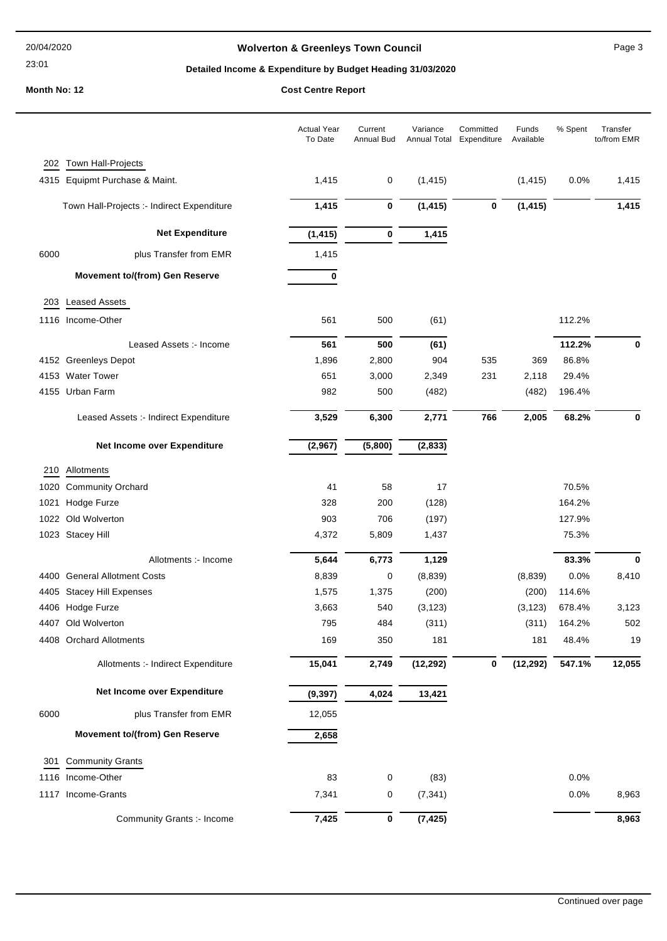23:01

# **Wolverton & Greenleys Town Council** Magness Council Page 3

# **Detailed Income & Expenditure by Budget Heading 31/03/2020**

|      |                                            | <b>Actual Year</b><br>To Date | Current<br>Annual Bud | Variance<br>Annual Total Expenditure | Committed | Funds<br>Available | % Spent | Transfer<br>to/from EMR |
|------|--------------------------------------------|-------------------------------|-----------------------|--------------------------------------|-----------|--------------------|---------|-------------------------|
|      | 202 Town Hall-Projects                     |                               |                       |                                      |           |                    |         |                         |
|      | 4315 Equipmt Purchase & Maint.             | 1,415                         | 0                     | (1, 415)                             |           | (1, 415)           | 0.0%    | 1,415                   |
|      | Town Hall-Projects :- Indirect Expenditure | 1,415                         | $\bf{0}$              | (1, 415)                             | 0         | (1, 415)           |         | 1,415                   |
|      | <b>Net Expenditure</b>                     | (1, 415)                      | 0                     | 1,415                                |           |                    |         |                         |
| 6000 | plus Transfer from EMR                     | 1,415                         |                       |                                      |           |                    |         |                         |
|      | <b>Movement to/(from) Gen Reserve</b>      | 0                             |                       |                                      |           |                    |         |                         |
| 203  | <b>Leased Assets</b>                       |                               |                       |                                      |           |                    |         |                         |
|      | 1116 Income-Other                          | 561                           | 500                   | (61)                                 |           |                    | 112.2%  |                         |
|      | Leased Assets :- Income                    | 561                           | 500                   | (61)                                 |           |                    | 112.2%  | 0                       |
|      | 4152 Greenleys Depot                       | 1,896                         | 2,800                 | 904                                  | 535       | 369                | 86.8%   |                         |
|      | 4153 Water Tower                           | 651                           | 3,000                 | 2,349                                | 231       | 2,118              | 29.4%   |                         |
|      | 4155 Urban Farm                            | 982                           | 500                   | (482)                                |           | (482)              | 196.4%  |                         |
|      | Leased Assets :- Indirect Expenditure      | 3,529                         | 6,300                 | 2,771                                | 766       | 2,005              | 68.2%   | 0                       |
|      | Net Income over Expenditure                | (2,967)                       | (5,800)               | (2, 833)                             |           |                    |         |                         |
| 210  | Allotments                                 |                               |                       |                                      |           |                    |         |                         |
|      | 1020 Community Orchard                     | 41                            | 58                    | 17                                   |           |                    | 70.5%   |                         |
| 1021 | Hodge Furze                                | 328                           | 200                   | (128)                                |           |                    | 164.2%  |                         |
|      | 1022 Old Wolverton                         | 903                           | 706                   | (197)                                |           |                    | 127.9%  |                         |
|      | 1023 Stacey Hill                           | 4,372                         | 5,809                 | 1,437                                |           |                    | 75.3%   |                         |
|      | Allotments :- Income                       | 5,644                         | 6,773                 | 1,129                                |           |                    | 83.3%   | 0                       |
|      | 4400 General Allotment Costs               | 8,839                         | 0                     | (8,839)                              |           | (8,839)            | 0.0%    | 8,410                   |
|      | 4405 Stacey Hill Expenses                  | 1,575                         | 1,375                 | (200)                                |           | (200)              | 114.6%  |                         |
|      | 4406 Hodge Furze                           | 3,663                         | 540                   | (3, 123)                             |           | (3, 123)           | 678.4%  | 3,123                   |
|      | 4407 Old Wolverton                         | 795                           | 484                   | (311)                                |           | (311)              | 164.2%  | 502                     |
|      | 4408 Orchard Allotments                    | 169                           | 350                   | 181                                  |           | 181                | 48.4%   | 19                      |
|      | Allotments :- Indirect Expenditure         | 15,041                        | 2,749                 | (12, 292)                            | 0         | (12, 292)          | 547.1%  | 12,055                  |
|      | Net Income over Expenditure                | (9, 397)                      | 4,024                 | 13,421                               |           |                    |         |                         |
| 6000 | plus Transfer from EMR                     | 12,055                        |                       |                                      |           |                    |         |                         |
|      | <b>Movement to/(from) Gen Reserve</b>      | 2,658                         |                       |                                      |           |                    |         |                         |
| 301  | <b>Community Grants</b>                    |                               |                       |                                      |           |                    |         |                         |
| 1116 | Income-Other                               | 83                            | 0                     | (83)                                 |           |                    | 0.0%    |                         |
|      | 1117 Income-Grants                         | 7,341                         | 0                     | (7, 341)                             |           |                    | 0.0%    | 8,963                   |
|      | Community Grants :- Income                 | 7,425                         | 0                     | (7, 425)                             |           |                    |         | 8,963                   |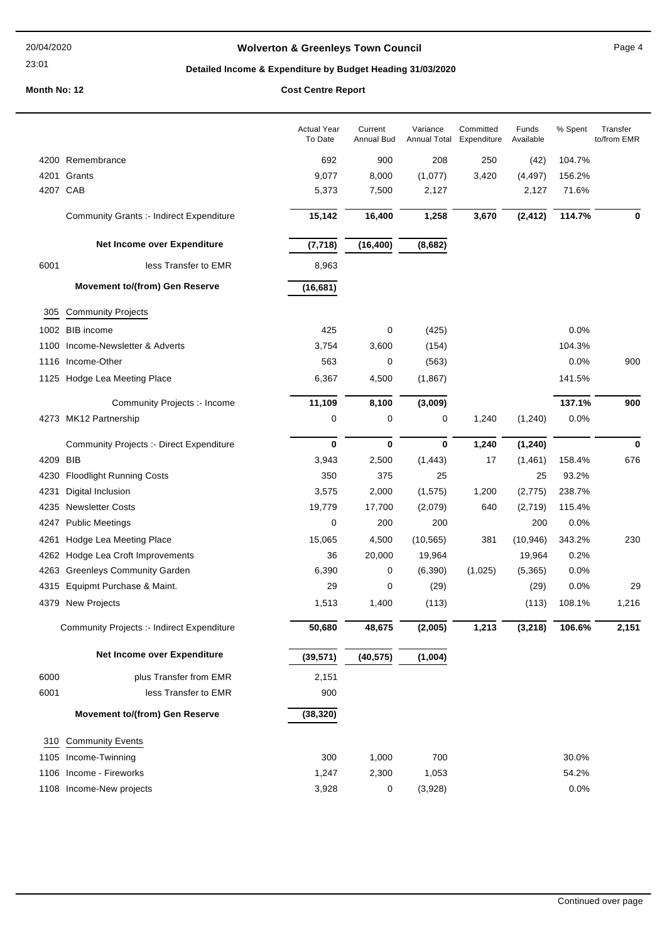### 23:01

# **Wolverton & Greenleys Town Council** Magnetic Page 4

# **Detailed Income & Expenditure by Budget Heading 31/03/2020**

|          |                                                 | <b>Actual Year</b><br>To Date | Current<br>Annual Bud | Variance<br>Annual Total | Committed<br>Expenditure | Funds<br>Available | % Spent | Transfer<br>to/from EMR |
|----------|-------------------------------------------------|-------------------------------|-----------------------|--------------------------|--------------------------|--------------------|---------|-------------------------|
|          | 4200 Remembrance                                | 692                           | 900                   | 208                      | 250                      | (42)               | 104.7%  |                         |
|          | 4201 Grants                                     | 9,077                         | 8,000                 | (1,077)                  | 3,420                    | (4, 497)           | 156.2%  |                         |
| 4207 CAB |                                                 | 5,373                         | 7,500                 | 2,127                    |                          | 2,127              | 71.6%   |                         |
|          | <b>Community Grants :- Indirect Expenditure</b> | 15,142                        | 16,400                | 1,258                    | 3,670                    | (2, 412)           | 114.7%  | 0                       |
|          | Net Income over Expenditure                     | (7, 718)                      | (16, 400)             | (8,682)                  |                          |                    |         |                         |
| 6001     | less Transfer to EMR                            | 8,963                         |                       |                          |                          |                    |         |                         |
|          | <b>Movement to/(from) Gen Reserve</b>           | (16, 681)                     |                       |                          |                          |                    |         |                         |
| 305      | <b>Community Projects</b>                       |                               |                       |                          |                          |                    |         |                         |
|          | 1002 BIB income                                 | 425                           | 0                     | (425)                    |                          |                    | 0.0%    |                         |
|          | 1100 Income-Newsletter & Adverts                | 3,754                         | 3,600                 | (154)                    |                          |                    | 104.3%  |                         |
|          | 1116 Income-Other                               | 563                           | 0                     | (563)                    |                          |                    | 0.0%    | 900                     |
|          | 1125 Hodge Lea Meeting Place                    | 6,367                         | 4,500                 | (1,867)                  |                          |                    | 141.5%  |                         |
|          | Community Projects :- Income                    | 11,109                        | 8,100                 | (3,009)                  |                          |                    | 137.1%  | 900                     |
|          | 4273 MK12 Partnership                           | 0                             | 0                     | 0                        | 1,240                    | (1,240)            | 0.0%    |                         |
|          | <b>Community Projects :- Direct Expenditure</b> | 0                             | $\bf{0}$              | $\bf{0}$                 | 1,240                    | (1, 240)           |         | 0                       |
| 4209 BIB |                                                 | 3,943                         | 2,500                 | (1, 443)                 | 17                       | (1,461)            | 158.4%  | 676                     |
|          | 4230 Floodlight Running Costs                   | 350                           | 375                   | 25                       |                          | 25                 | 93.2%   |                         |
| 4231     | Digital Inclusion                               | 3,575                         | 2,000                 | (1, 575)                 | 1,200                    | (2, 775)           | 238.7%  |                         |
| 4235     | <b>Newsletter Costs</b>                         | 19,779                        | 17,700                | (2,079)                  | 640                      | (2,719)            | 115.4%  |                         |
| 4247     | <b>Public Meetings</b>                          | 0                             | 200                   | 200                      |                          | 200                | 0.0%    |                         |
| 4261     | Hodge Lea Meeting Place                         | 15,065                        | 4,500                 | (10, 565)                | 381                      | (10, 946)          | 343.2%  | 230                     |
|          | 4262 Hodge Lea Croft Improvements               | 36                            | 20,000                | 19,964                   |                          | 19,964             | 0.2%    |                         |
|          | 4263 Greenleys Community Garden                 | 6,390                         | 0                     | (6, 390)                 | (1,025)                  | (5,365)            | 0.0%    |                         |
|          | 4315 Equipmt Purchase & Maint.                  | 29                            | 0                     | (29)                     |                          | (29)               | 0.0%    | 29                      |
|          | 4379 New Projects                               | 1,513                         | 1,400                 | (113)                    |                          | (113)              | 108.1%  | 1,216                   |
|          | Community Projects :- Indirect Expenditure      | 50,680                        | 48,675                | (2,005)                  | 1,213                    | (3, 218)           | 106.6%  | 2,151                   |
|          | Net Income over Expenditure                     | (39, 571)                     | (40, 575)             | (1,004)                  |                          |                    |         |                         |
| 6000     | plus Transfer from EMR                          | 2,151                         |                       |                          |                          |                    |         |                         |
| 6001     | less Transfer to EMR                            | 900                           |                       |                          |                          |                    |         |                         |
|          | <b>Movement to/(from) Gen Reserve</b>           | (38, 320)                     |                       |                          |                          |                    |         |                         |
| 310      | <b>Community Events</b>                         |                               |                       |                          |                          |                    |         |                         |
|          | 1105 Income-Twinning                            | 300                           | 1,000                 | 700                      |                          |                    | 30.0%   |                         |
|          | 1106 Income - Fireworks                         | 1,247                         | 2,300                 | 1,053                    |                          |                    | 54.2%   |                         |
|          | 1108 Income-New projects                        | 3,928                         | 0                     | (3,928)                  |                          |                    | 0.0%    |                         |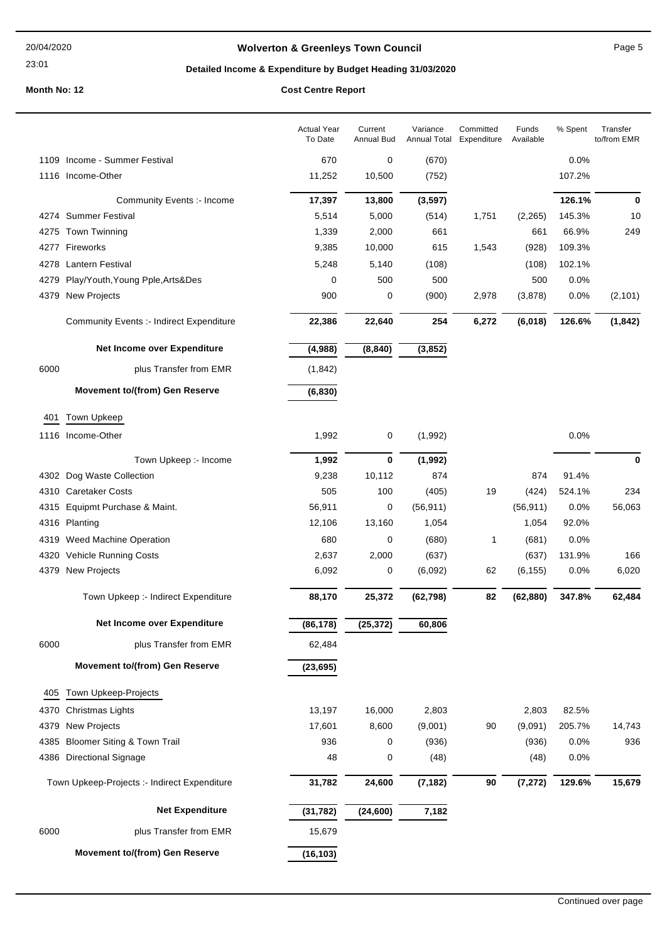23:01

# **Wolverton & Greenleys Town Council Page 5** Page 5

# **Detailed Income & Expenditure by Budget Heading 31/03/2020**

|      |                                                 | <b>Actual Year</b><br>To Date | Current<br>Annual Bud | Variance<br><b>Annual Total</b> | Committed<br>Expenditure | Funds<br>Available | % Spent | Transfer<br>to/from EMR |
|------|-------------------------------------------------|-------------------------------|-----------------------|---------------------------------|--------------------------|--------------------|---------|-------------------------|
|      | 1109 Income - Summer Festival                   | 670                           | 0                     | (670)                           |                          |                    | 0.0%    |                         |
|      | 1116 Income-Other                               | 11,252                        | 10,500                | (752)                           |                          |                    | 107.2%  |                         |
|      | Community Events :- Income                      | 17,397                        | 13,800                | (3, 597)                        |                          |                    | 126.1%  | 0                       |
|      | 4274 Summer Festival                            | 5,514                         | 5,000                 | (514)                           | 1,751                    | (2,265)            | 145.3%  | 10                      |
|      | 4275 Town Twinning                              | 1,339                         | 2,000                 | 661                             |                          | 661                | 66.9%   | 249                     |
|      | 4277 Fireworks                                  | 9,385                         | 10,000                | 615                             | 1,543                    | (928)              | 109.3%  |                         |
|      | 4278 Lantern Festival                           | 5,248                         | 5,140                 | (108)                           |                          | (108)              | 102.1%  |                         |
| 4279 | Play/Youth, Young Pple, Arts&Des                | 0                             | 500                   | 500                             |                          | 500                | 0.0%    |                         |
| 4379 | <b>New Projects</b>                             | 900                           | 0                     | (900)                           | 2,978                    | (3,878)            | 0.0%    | (2, 101)                |
|      | <b>Community Events :- Indirect Expenditure</b> | 22,386                        | 22,640                | 254                             | 6,272                    | (6,018)            | 126.6%  | (1, 842)                |
|      | Net Income over Expenditure                     | (4,988)                       | (8, 840)              | (3, 852)                        |                          |                    |         |                         |
| 6000 | plus Transfer from EMR                          | (1, 842)                      |                       |                                 |                          |                    |         |                         |
|      | <b>Movement to/(from) Gen Reserve</b>           | (6, 830)                      |                       |                                 |                          |                    |         |                         |
| 401  | Town Upkeep                                     |                               |                       |                                 |                          |                    |         |                         |
|      | 1116 Income-Other                               | 1,992                         | 0                     | (1,992)                         |                          |                    | 0.0%    |                         |
|      | Town Upkeep :- Income                           | 1,992                         | 0                     | (1, 992)                        |                          |                    |         | 0                       |
|      | 4302 Dog Waste Collection                       | 9,238                         | 10,112                | 874                             |                          | 874                | 91.4%   |                         |
|      | 4310 Caretaker Costs                            | 505                           | 100                   | (405)                           | 19                       | (424)              | 524.1%  | 234                     |
|      | 4315 Equipmt Purchase & Maint.                  | 56,911                        | 0                     | (56, 911)                       |                          | (56, 911)          | 0.0%    | 56,063                  |
|      | 4316 Planting                                   | 12,106                        | 13,160                | 1,054                           |                          | 1,054              | 92.0%   |                         |
|      | 4319 Weed Machine Operation                     | 680                           | 0                     | (680)                           | $\mathbf{1}$             | (681)              | 0.0%    |                         |
| 4320 | <b>Vehicle Running Costs</b>                    | 2,637                         | 2,000                 | (637)                           |                          | (637)              | 131.9%  | 166                     |
|      | 4379 New Projects                               | 6,092                         | 0                     | (6,092)                         | 62                       | (6, 155)           | 0.0%    | 6,020                   |
|      | Town Upkeep :- Indirect Expenditure             | 88,170                        | 25,372                | (62, 798)                       | 82                       | (62, 880)          | 347.8%  | 62,484                  |
|      | Net Income over Expenditure                     | (86, 178)                     | (25, 372)             | 60,806                          |                          |                    |         |                         |
| 6000 | plus Transfer from EMR                          | 62,484                        |                       |                                 |                          |                    |         |                         |
|      | <b>Movement to/(from) Gen Reserve</b>           | (23, 695)                     |                       |                                 |                          |                    |         |                         |
| 405  | Town Upkeep-Projects                            |                               |                       |                                 |                          |                    |         |                         |
| 4370 | Christmas Lights                                | 13,197                        | 16,000                | 2,803                           |                          | 2,803              | 82.5%   |                         |
| 4379 | New Projects                                    | 17,601                        | 8,600                 | (9,001)                         | 90                       | (9,091)            | 205.7%  | 14,743                  |
| 4385 | <b>Bloomer Siting &amp; Town Trail</b>          | 936                           | 0                     | (936)                           |                          | (936)              | 0.0%    | 936                     |
|      | 4386 Directional Signage                        | 48                            | 0                     | (48)                            |                          | (48)               | 0.0%    |                         |
|      | Town Upkeep-Projects :- Indirect Expenditure    | 31,782                        | 24,600                | (7, 182)                        | 90                       | (7, 272)           | 129.6%  | 15,679                  |
|      | <b>Net Expenditure</b>                          | (31, 782)                     | (24, 600)             | 7,182                           |                          |                    |         |                         |
| 6000 | plus Transfer from EMR                          | 15,679                        |                       |                                 |                          |                    |         |                         |
|      | <b>Movement to/(from) Gen Reserve</b>           | (16, 103)                     |                       |                                 |                          |                    |         |                         |